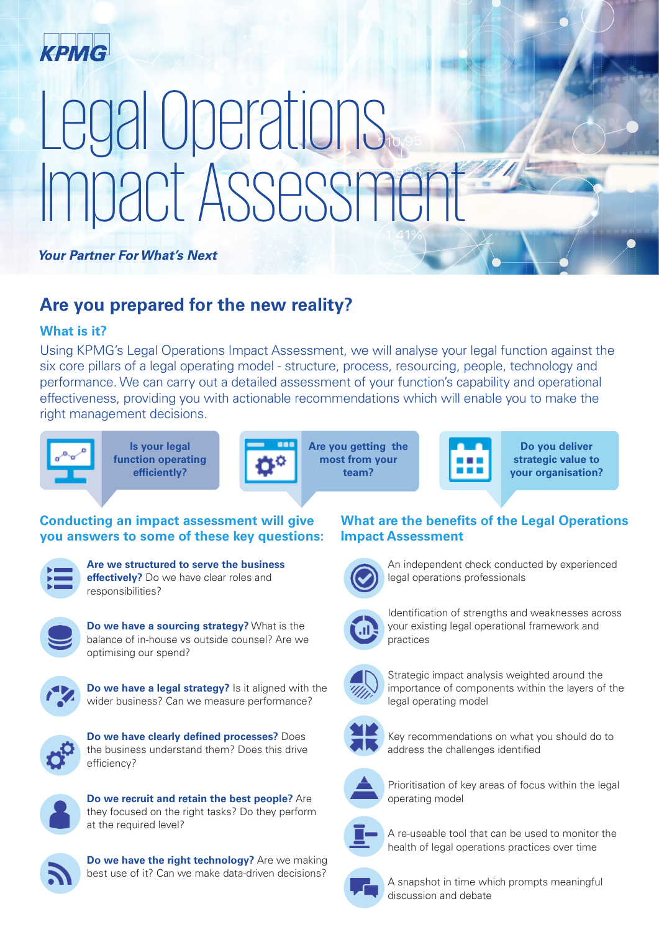

# Legal Operations Impact Assessment

**Your Partner For What's Next** 

## **Are you prepared for the new reality?**

#### **What is it?**

Using KPMG's Legal Operations Impact Assessment, we will analyse your legal function against the six core pillars of a legal operating model - structure, process, resourcing, people, technology and performance. We can carry out a detailed assessment of your function's capability and operational effectiveness, providing you with actionable recommendations which will enable you to make the right management decisions.



**Is your legal function operating efficiently?**



**Are you getting the most from your team?**



**Do you deliver strategic value to your organisation?**

#### **Conducting an impact assessment will give you answers to some of these key questions:**



**Are we structured to serve the business effectively?** Do we have clear roles and responsibilities?



**Do we have a sourcing strategy?** What is the balance of in-house vs outside counsel? Are we optimising our spend?



**Do we have a legal strategy?** Is it aligned with the wider business? Can we measure performance?



**Do we have clearly defined processes?** Does the business understand them? Does this drive efficiency?



**Do we recruit and retain the best people?** Are they focused on the right tasks? Do they perform at the required level?



**Do we have the right technology?** Are we making best use of it? Can we make data-driven decisions?

### **What are the benefits of the Legal Operations Impact Assessment**



An independent check conducted by experienced legal operations professionals



Identification of strengths and weaknesses across your existing legal operational framework and practices



Strategic impact analysis weighted around the importance of components within the layers of the legal operating model



Key recommendations on what you should do to address the challenges identified



Prioritisation of key areas of focus within the legal operating model



A re-useable tool that can be used to monitor the health of legal operations practices over time



A snapshot in time which prompts meaningful discussion and debate